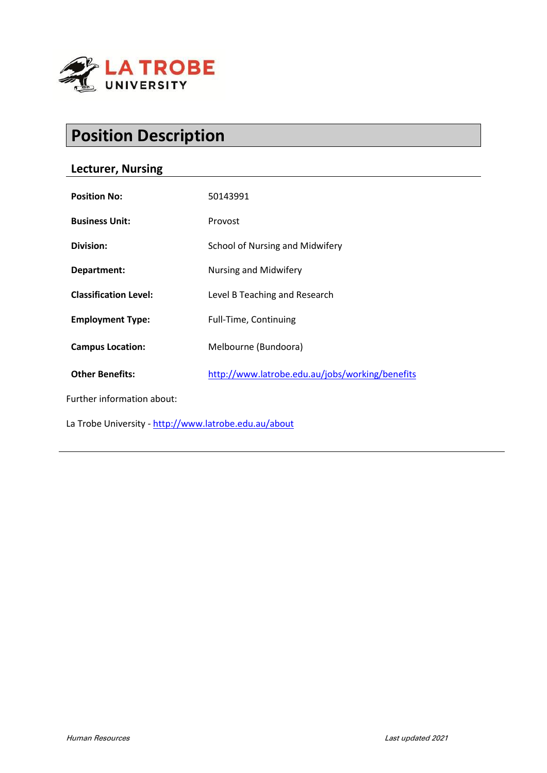

# **Position Description**

# **Lecturer, Nursing**

| <b>Position No:</b>                                   | 50143991                                        |
|-------------------------------------------------------|-------------------------------------------------|
| <b>Business Unit:</b>                                 | Provost                                         |
| Division:                                             | School of Nursing and Midwifery                 |
| Department:                                           | Nursing and Midwifery                           |
| <b>Classification Level:</b>                          | Level B Teaching and Research                   |
| <b>Employment Type:</b>                               | Full-Time, Continuing                           |
| <b>Campus Location:</b>                               | Melbourne (Bundoora)                            |
| <b>Other Benefits:</b>                                | http://www.latrobe.edu.au/jobs/working/benefits |
| Further information about:                            |                                                 |
| La Trobe University - http://www.latrobe.edu.au/about |                                                 |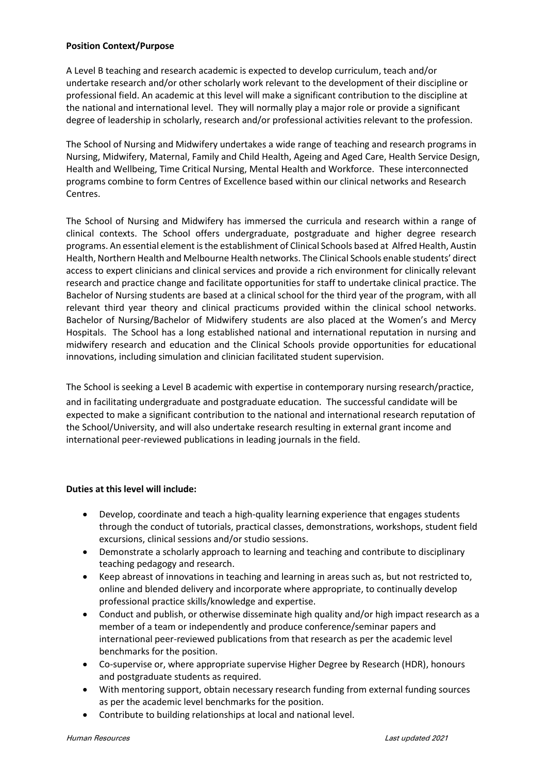#### **Position Context/Purpose**

A Level B teaching and research academic is expected to develop curriculum, teach and/or undertake research and/or other scholarly work relevant to the development of their discipline or professional field. An academic at this level will make a significant contribution to the discipline at the national and international level. They will normally play a major role or provide a significant degree of leadership in scholarly, research and/or professional activities relevant to the profession.

The School of Nursing and Midwifery undertakes a wide range of teaching and research programs in Nursing, Midwifery, Maternal, Family and Child Health, Ageing and Aged Care, Health Service Design, Health and Wellbeing, Time Critical Nursing, Mental Health and Workforce. These interconnected programs combine to form Centres of Excellence based within our clinical networks and Research Centres.

The School of Nursing and Midwifery has immersed the curricula and research within a range of clinical contexts. The School offers undergraduate, postgraduate and higher degree research programs. An essential element is the establishment of Clinical Schools based at Alfred Health, Austin Health, Northern Health and Melbourne Health networks. The Clinical Schools enable students' direct access to expert clinicians and clinical services and provide a rich environment for clinically relevant research and practice change and facilitate opportunities for staff to undertake clinical practice. The Bachelor of Nursing students are based at a clinical school for the third year of the program, with all relevant third year theory and clinical practicums provided within the clinical school networks. Bachelor of Nursing/Bachelor of Midwifery students are also placed at the Women's and Mercy Hospitals. The School has a long established national and international reputation in nursing and midwifery research and education and the Clinical Schools provide opportunities for educational innovations, including simulation and clinician facilitated student supervision.

The School is seeking a Level B academic with expertise in contemporary nursing research/practice, and in facilitating undergraduate and postgraduate education. The successful candidate will be expected to make a significant contribution to the national and international research reputation of the School/University, and will also undertake research resulting in external grant income and international peer-reviewed publications in leading journals in the field.

## **Duties at this level will include:**

- Develop, coordinate and teach a high-quality learning experience that engages students through the conduct of tutorials, practical classes, demonstrations, workshops, student field excursions, clinical sessions and/or studio sessions.
- Demonstrate a scholarly approach to learning and teaching and contribute to disciplinary teaching pedagogy and research.
- Keep abreast of innovations in teaching and learning in areas such as, but not restricted to, online and blended delivery and incorporate where appropriate, to continually develop professional practice skills/knowledge and expertise.
- Conduct and publish, or otherwise disseminate high quality and/or high impact research as a member of a team or independently and produce conference/seminar papers and international peer-reviewed publications from that research as per the academic level benchmarks for the position.
- Co-supervise or, where appropriate supervise Higher Degree by Research (HDR), honours and postgraduate students as required.
- With mentoring support, obtain necessary research funding from external funding sources as per the academic level benchmarks for the position.
- Contribute to building relationships at local and national level.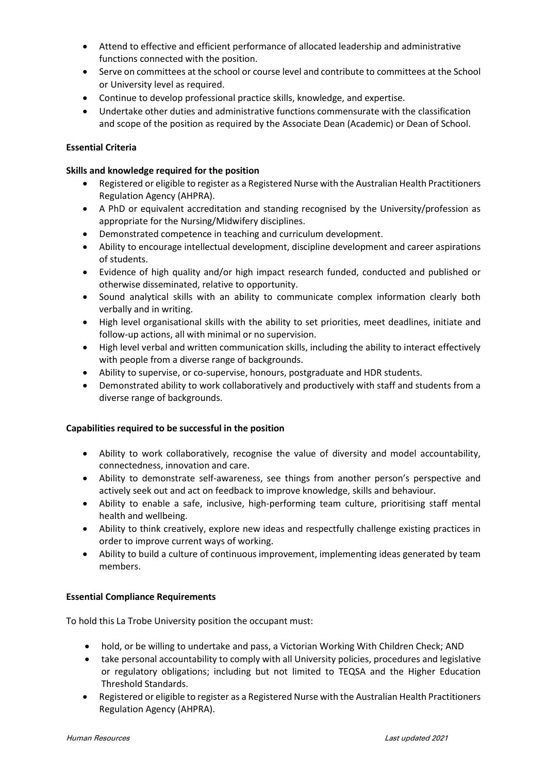- Attend to effective and efficient performance of allocated leadership and administrative functions connected with the position.
- Serve on committees at the school or course level and contribute to committees at the School or University level as required.
- Continue to develop professional practice skills, knowledge, and expertise.
- Undertake other duties and administrative functions commensurate with the classification and scope of the position as required by the Associate Dean (Academic) or Dean of School.

### **Essential Criteria**

#### **Skills and knowledge required for the position**

- Registered or eligible to register as a Registered Nurse with the Australian Health Practitioners Regulation Agency (AHPRA).
- A PhD or equivalent accreditation and standing recognised by the University/profession as appropriate for the Nursing/Midwifery disciplines.
- Demonstrated competence in teaching and curriculum development.
- Ability to encourage intellectual development, discipline development and career aspirations of students.
- Evidence of high quality and/or high impact research funded, conducted and published or otherwise disseminated, relative to opportunity.
- Sound analytical skills with an ability to communicate complex information clearly both verbally and in writing.
- High level organisational skills with the ability to set priorities, meet deadlines, initiate and follow-up actions, all with minimal or no supervision.
- High level verbal and written communication skills, including the ability to interact effectively with people from a diverse range of backgrounds.
- Ability to supervise, or co-supervise, honours, postgraduate and HDR students.
- Demonstrated ability to work collaboratively and productively with staff and students from a diverse range of backgrounds.

#### **Capabilities required to be successful in the position**

- Ability to work collaboratively, recognise the value of diversity and model accountability, connectedness, innovation and care.
- Ability to demonstrate self-awareness, see things from another person's perspective and actively seek out and act on feedback to improve knowledge, skills and behaviour.
- Ability to enable a safe, inclusive, high-performing team culture, prioritising staff mental health and wellbeing.
- Ability to think creatively, explore new ideas and respectfully challenge existing practices in order to improve current ways of working.
- Ability to build a culture of continuous improvement, implementing ideas generated by team members.

#### **Essential Compliance Requirements**

To hold this La Trobe University position the occupant must:

- hold, or be willing to undertake and pass, a Victorian Working With Children Check; AND
- take personal accountability to comply with all University policies, procedures and legislative or regulatory obligations; including but not limited to TEQSA and the Higher Education Threshold Standards.
- Registered or eligible to register as a Registered Nurse with the Australian Health Practitioners Regulation Agency (AHPRA).